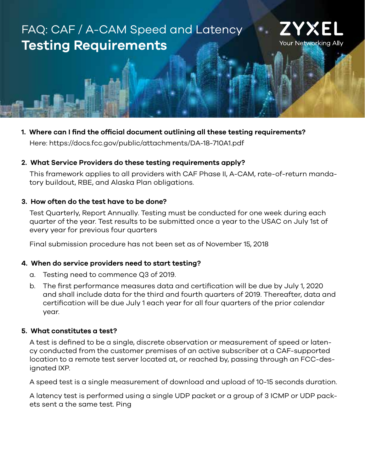# FAQ: CAF / A-CAM Speed and Latency **Testing Requirements**



## **1. Where can I find the official document outlining all these testing requirements?**

Here: https://docs.fcc.gov/public/attachments/DA-18-710A1.pdf

#### **2. What Service Providers do these testing requirements apply?**

This framework applies to all providers with CAF Phase II, A-CAM, rate-of-return mandatory buildout, RBE, and Alaska Plan obligations.

#### **3. How often do the test have to be done?**

Test Quarterly, Report Annually. Testing must be conducted for one week during each quarter of the year. Test results to be submitted once a year to the USAC on July 1st of every year for previous four quarters

Final submission procedure has not been set as of November 15, 2018

#### **4. When do service providers need to start testing?**

- a. Testing need to commence Q3 of 2019.
- b. The first performance measures data and certification will be due by July 1, 2020 and shall include data for the third and fourth quarters of 2019. Thereafter, data and certification will be due July 1 each year for all four quarters of the prior calendar year.

#### **5. What constitutes a test?**

A test is defined to be a single, discrete observation or measurement of speed or latency conducted from the customer premises of an active subscriber at a CAF-supported location to a remote test server located at, or reached by, passing through an FCC-designated IXP.

A speed test is a single measurement of download and upload of 10-15 seconds duration.

A latency test is performed using a single UDP packet or a group of 3 ICMP or UDP packets sent a the same test. Ping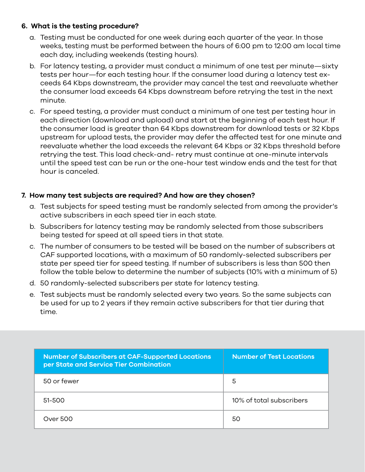### **6. What is the testing procedure?**

- a. Testing must be conducted for one week during each quarter of the year. In those weeks, testing must be performed between the hours of 6:00 pm to 12:00 am local time each day, including weekends (testing hours).
- b. For latency testing, a provider must conduct a minimum of one test per minute—sixty tests per hour—for each testing hour. If the consumer load during a latency test exceeds 64 Kbps downstream, the provider may cancel the test and reevaluate whether the consumer load exceeds 64 Kbps downstream before retrying the test in the next minute.
- c. For speed testing, a provider must conduct a minimum of one test per testing hour in each direction (download and upload) and start at the beginning of each test hour. If the consumer load is greater than 64 Kbps downstream for download tests or 32 Kbps upstream for upload tests, the provider may defer the affected test for one minute and reevaluate whether the load exceeds the relevant 64 Kbps or 32 Kbps threshold before retrying the test. This load check-and- retry must continue at one-minute intervals until the speed test can be run or the one-hour test window ends and the test for that hour is canceled.

### **7. How many test subjects are required? And how are they chosen?**

- a. Test subjects for speed testing must be randomly selected from among the provider's active subscribers in each speed tier in each state.
- b. Subscribers for latency testing may be randomly selected from those subscribers being tested for speed at all speed tiers in that state.
- c. The number of consumers to be tested will be based on the number of subscribers at CAF supported locations, with a maximum of 50 randomly-selected subscribers per state per speed tier for speed testing. If number of subscribers is less than 500 then follow the table below to determine the number of subjects (10% with a minimum of 5)
- d. 50 randomly-selected subscribers per state for latency testing.
- e. Test subjects must be randomly selected every two years. So the same subjects can be used for up to 2 years if they remain active subscribers for that tier during that time.

| <b>Number of Subscribers at CAF-Supported Locations</b><br>per State and Service Tier Combination | <b>Number of Test Locations</b> |  |
|---------------------------------------------------------------------------------------------------|---------------------------------|--|
| 50 or fewer                                                                                       | 5                               |  |
| 51-500                                                                                            | 10% of total subscribers        |  |
| Over 500                                                                                          | 50                              |  |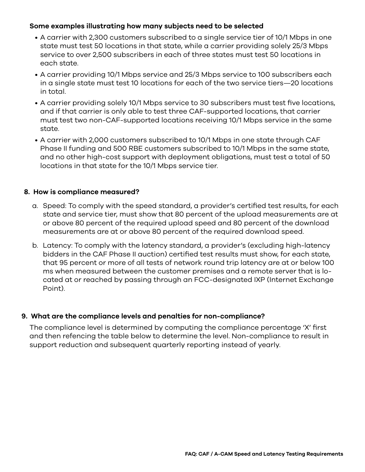#### **Some examples illustrating how many subjects need to be selected**

- A carrier with 2,300 customers subscribed to a single service tier of 10/1 Mbps in one state must test 50 locations in that state, while a carrier providing solely 25/3 Mbps service to over 2,500 subscribers in each of three states must test 50 locations in each state.
- A carrier providing 10/1 Mbps service and 25/3 Mbps service to 100 subscribers each in a single state must test 10 locations for each of the two service tiers—20 locations in total.
- A carrier providing solely 10/1 Mbps service to 30 subscribers must test five locations, and if that carrier is only able to test three CAF-supported locations, that carrier must test two non-CAF-supported locations receiving 10/1 Mbps service in the same state.
- A carrier with 2,000 customers subscribed to 10/1 Mbps in one state through CAF Phase II funding and 500 RBE customers subscribed to 10/1 Mbps in the same state, and no other high-cost support with deployment obligations, must test a total of 50 locations in that state for the 10/1 Mbps service tier.

#### **8. How is compliance measured?**

- a. Speed: To comply with the speed standard, a provider's certified test results, for each state and service tier, must show that 80 percent of the upload measurements are at or above 80 percent of the required upload speed and 80 percent of the download measurements are at or above 80 percent of the required download speed.
- b. Latency: To comply with the latency standard, a provider's (excluding high-latency bidders in the CAF Phase II auction) certified test results must show, for each state, that 95 percent or more of all tests of network round trip latency are at or below 100 ms when measured between the customer premises and a remote server that is located at or reached by passing through an FCC-designated IXP (Internet Exchange Point).

#### **9. What are the compliance levels and penalties for non-compliance?**

The compliance level is determined by computing the compliance percentage 'X' first and then refencing the table below to determine the level. Non-compliance to result in support reduction and subsequent quarterly reporting instead of yearly.